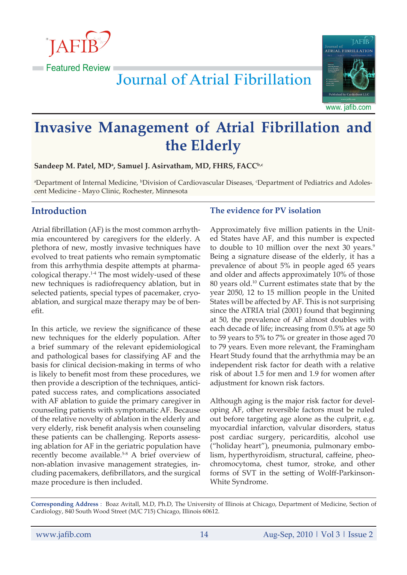

Journal of Atrial Fibrillation



### www. jafib.com

# **Invasive Management of Atrial Fibrillation and the Elderly**

 $S$ andeep M. Patel, MDª, Samuel J. Asirvatham, MD, FHRS, FACC<sup>b,c</sup>

<sup>a</sup>Department of Internal Medicine, <sup>b</sup>Division of Cardiovascular Diseases, <sup>c</sup>Department of Pediatrics and Adolescent Medicine - Mayo Clinic, Rochester, Minnesota

# **Introduction**

Atrial fibrillation (AF) is the most common arrhythmia encountered by caregivers for the elderly. A plethora of new, mostly invasive techniques have evolved to treat patients who remain symptomatic from this arrhythmia despite attempts at pharmacological therapy.1-4 The most widely-used of these new techniques is radiofrequency ablation, but in selected patients, special types of pacemaker, cryoablation, and surgical maze therapy may be of benefit.

In this article, we review the significance of these new techniques for the elderly population. After a brief summary of the relevant epidemiological and pathological bases for classifying AF and the basis for clinical decision-making in terms of who is likely to benefit most from these procedures, we then provide a description of the techniques, anticipated success rates, and complications associated with AF ablation to guide the primary caregiver in counseling patients with symptomatic AF. Because of the relative novelty of ablation in the elderly and very elderly, risk benefit analysis when counseling these patients can be challenging. Reports assessing ablation for AF in the geriatric population have recently become available.<sup>5-8</sup> A brief overview of non-ablation invasive management strategies, including pacemakers, defibrillators, and the surgical maze procedure is then included.

# **The evidence for PV isolation**

Approximately five million patients in the United States have AF, and this number is expected to double to 10 million over the next 30 years.<sup>9</sup> Being a signature disease of the elderly, it has a prevalence of about 5% in people aged 65 years and older and affects approximately 10% of those 80 years old.10 Current estimates state that by the year 2050, 12 to 15 million people in the United States will be affected by AF. This is not surprising since the ATRIA trial (2001) found that beginning at 50, the prevalence of AF almost doubles with each decade of life; increasing from 0.5% at age 50 to 59 years to 5% to 7% or greater in those aged 70 to 79 years. Even more relevant, the Framingham Heart Study found that the arrhythmia may be an independent risk factor for death with a relative risk of about 1.5 for men and 1.9 for women after adjustment for known risk factors.

Although aging is the major risk factor for developing AF, other reversible factors must be ruled out before targeting age alone as the culprit, e.g. myocardial infarction, valvular disorders, status post cardiac surgery, pericarditis, alcohol use ("holiday heart"), pneumonia, pulmonary embolism, hyperthyroidism, structural, caffeine, pheochromocytoma, chest tumor, stroke, and other forms of SVT in the setting of Wolff-Parkinson-White Syndrome.

**Corresponding Address** : Boaz Avitall, M.D, Ph.D, The University of Illinois at Chicago, Department of Medicine, Section of Cardiology, 840 South Wood Street (M/C 715) Chicago, Illinois 60612.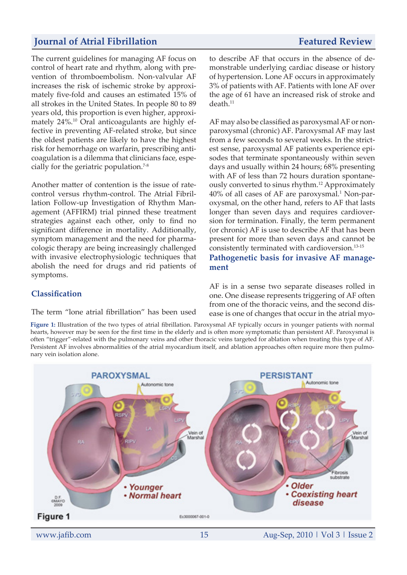The current guidelines for managing AF focus on control of heart rate and rhythm, along with prevention of thromboembolism. Non-valvular AF increases the risk of ischemic stroke by approximately five-fold and causes an estimated 15% of all strokes in the United States. In people 80 to 89 years old, this proportion is even higher, approximately 24%.10 Oral anticoagulants are highly effective in preventing AF-related stroke, but since the oldest patients are likely to have the highest risk for hemorrhage on warfarin, prescribing anticoagulation is a dilemma that clinicians face, especially for the geriatric population.<sup>7-8</sup>

Another matter of contention is the issue of ratecontrol versus rhythm-control. The Atrial Fibrillation Follow-up Investigation of Rhythm Management (AFFIRM) trial pinned these treatment strategies against each other, only to find no significant difference in mortality. Additionally, symptom management and the need for pharmacologic therapy are being increasingly challenged with invasive electrophysiologic techniques that abolish the need for drugs and rid patients of symptoms.

**Classification**

### The term "lone atrial fibrillation" has been used

to describe AF that occurs in the absence of demonstrable underlying cardiac disease or history of hypertension. Lone AF occurs in approximately 3% of patients with AF. Patients with lone AF over the age of 61 have an increased risk of stroke and  $death<sup>11</sup>$ 

AF may also be classified as paroxysmal AF or nonparoxysmal (chronic) AF. Paroxysmal AF may last from a few seconds to several weeks. In the strictest sense, paroxysmal AF patients experience episodes that terminate spontaneously within seven days and usually within 24 hours; 68% presenting with AF of less than 72 hours duration spontaneously converted to sinus rhythm.12 Approximately  $40\%$  of all cases of AF are paroxysmal.<sup>1</sup> Non-paroxysmal, on the other hand, refers to AF that lasts longer than seven days and requires cardioversion for termination. Finally, the term permanent (or chronic) AF is use to describe AF that has been present for more than seven days and cannot be consistently terminated with cardioversion.13-15

**Pathogenetic basis for invasive AF management**

AF is in a sense two separate diseases rolled in one. One disease represents triggering of AF often from one of the thoracic veins, and the second disease is one of changes that occur in the atrial myo-

**Figure 1:** Illustration of the two types of atrial fibrillation. Paroxysmal AF typically occurs in younger patients with normal hearts, however may be seen for the first time in the elderly and is often more symptomatic than persistent AF. Paroxysmal is often "trigger"-related with the pulmonary veins and other thoracic veins targeted for ablation when treating this type of AF. Persistent AF involves abnormalities of the atrial myocardium itself, and ablation approaches often require more then pulmonary vein isolation alone.

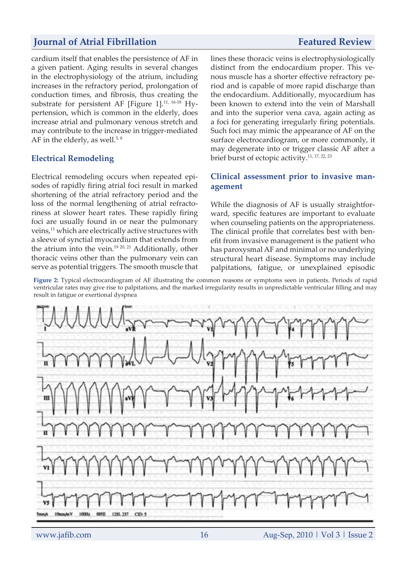cardium itself that enables the persistence of AF in a given patient. Aging results in several changes in the electrophysiology of the atrium, including increases in the refractory period, prolongation of conduction times, and fibrosis, thus creating the substrate for persistent AF [Figure 1].<sup>11, 16-18</sup> Hypertension, which is common in the elderly, does increase atrial and pulmonary venous stretch and may contribute to the increase in trigger-mediated AF in the elderly, as well. $5, 8$ 

### **Electrical Remodeling**

Electrical remodeling occurs when repeated episodes of rapidly firing atrial foci result in marked shortening of the atrial refractory period and the loss of the normal lengthening of atrial refractoriness at slower heart rates. These rapidly firing foci are usually found in or near the pulmonary veins,<sup>11</sup> which are electrically active structures with a sleeve of synctial myocardium that extends from the atrium into the vein.19 20, 21 Additionally, other thoracic veins other than the pulmonary vein can serve as potential triggers. The smooth muscle that lines these thoracic veins is electrophysiologically distinct from the endocardium proper. This venous muscle has a shorter effective refractory period and is capable of more rapid discharge than the endocardium. Additionally, myocardium has been known to extend into the vein of Marshall and into the superior vena cava, again acting as a foci for generating irregularly firing potentials. Such foci may mimic the appearance of AF on the surface electrocardiogram, or more commonly, it

### **Clinical assessment prior to invasive management**

may degenerate into or trigger classic AF after a

brief burst of ectopic activity.11, 17, 22, 23

While the diagnosis of AF is usually straightforward, specific features are important to evaluate when counseling patients on the appropriateness. The clinical profile that correlates best with benefit from invasive management is the patient who has paroxysmal AF and minimal or no underlying structural heart disease. Symptoms may include palpitations, fatigue, or unexplained episodic

**Figure 2:** Typical electrocardiogram of AF illustrating the common reasons or symptoms seen in patients. Periods of rapid ventricular rates may give rise to palpitations, and the marked irregularity results in unpredictable ventricular filling and may result in fatigue or exertional dyspnea

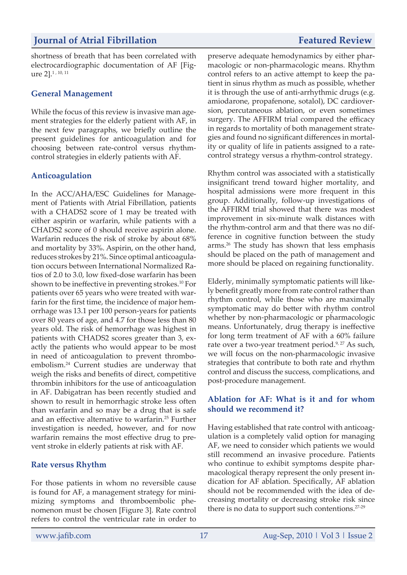shortness of breath that has been correlated with electrocardiographic documentation of AF [Figure 2].1 , 10, 11

### **General Management**

While the focus of this review is invasive man agement strategies for the elderly patient with AF, in the next few paragraphs, we briefly outline the present guidelines for anticoagulation and for choosing between rate-control versus rhythmcontrol strategies in elderly patients with AF.

## **Anticoagulation**

In the ACC/AHA/ESC Guidelines for Management of Patients with Atrial Fibrillation, patients with a CHADS2 score of 1 may be treated with either aspirin or warfarin, while patients with a CHADS2 score of 0 should receive aspirin alone. Warfarin reduces the risk of stroke by about 68% and mortality by 33%. Aspirin, on the other hand, reduces strokes by 21%. Since optimal anticoagulation occurs between International Normalized Ratios of 2.0 to 3.0, low fixed-dose warfarin has been shown to be ineffective in preventing strokes.10 For patients over 65 years who were treated with warfarin for the first time, the incidence of major hemorrhage was 13.1 per 100 person-years for patients over 80 years of age, and 4.7 for those less than 80 years old. The risk of hemorrhage was highest in patients with CHADS2 scores greater than 3, exactly the patients who would appear to be most in need of anticoagulation to prevent thromboembolism.24 Current studies are underway that weigh the risks and benefits of direct, competitive thrombin inhibitors for the use of anticoagulation in AF. Dabigatran has been recently studied and shown to result in hemorrhagic stroke less often than warfarin and so may be a drug that is safe and an effective alternative to warfarin.<sup>25</sup> Further investigation is needed, however, and for now warfarin remains the most effective drug to prevent stroke in elderly patients at risk with AF.

### **Rate versus Rhythm**

For those patients in whom no reversible cause is found for AF, a management strategy for minimizing symptoms and thromboembolic phenomenon must be chosen [Figure 3]. Rate control refers to control the ventricular rate in order to

preserve adequate hemodynamics by either pharmacologic or non-pharmacologic means. Rhythm control refers to an active attempt to keep the patient in sinus rhythm as much as possible, whether it is through the use of anti-arrhythmic drugs (e.g. amiodarone, propafenone, sotalol), DC cardioversion, percutaneous ablation, or even sometimes surgery. The AFFIRM trial compared the efficacy in regards to mortality of both management strategies and found no significant differences in mortality or quality of life in patients assigned to a ratecontrol strategy versus a rhythm-control strategy.

Rhythm control was associated with a statistically insignificant trend toward higher mortality, and hospital admissions were more frequent in this group. Additionally, follow-up investigations of the AFFIRM trial showed that there was modest improvement in six-minute walk distances with the rhythm-control arm and that there was no difference in cognitive function between the study arms.26 The study has shown that less emphasis should be placed on the path of management and more should be placed on regaining functionality.

Elderly, minimally symptomatic patients will likely benefit greatly more from rate control rather than rhythm control, while those who are maximally symptomatic may do better with rhythm control whether by non-pharmacologic or pharmacologic means. Unfortunately, drug therapy is ineffective for long term treatment of AF with a 60% failure rate over a two-year treatment period.<sup>9, 27</sup> As such, we will focus on the non-pharmacologic invasive strategies that contribute to both rate and rhythm control and discuss the success, complications, and post-procedure management.

## **Ablation for AF: What is it and for whom should we recommend it?**

Having established that rate control with anticoagulation is a completely valid option for managing AF, we need to consider which patients we would still recommend an invasive procedure. Patients who continue to exhibit symptoms despite pharmacological therapy represent the only present indication for AF ablation. Specifically, AF ablation should not be recommended with the idea of decreasing mortality or decreasing stroke risk since there is no data to support such contentions.<sup>27-29</sup>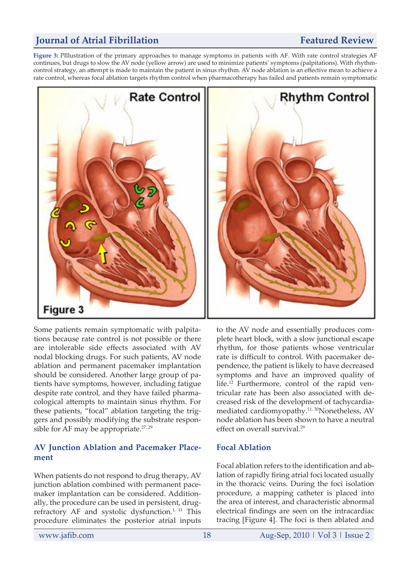**Figure 3:** PIllustration of the primary approaches to manage symptoms in patients with AF. With rate control strategies AF continues, but drugs to slow the AV node (yellow arrow) are used to minimize patients' symptoms (palpitations). With rhythmcontrol strategy, an attempt is made to maintain the patient in sinus rhythm. AV node ablation is an effective mean to achieve a rate control, whereas focal ablation targets rhythm control when pharmacotherapy has failed and patients remain symptomatic



Some patients remain symptomatic with palpitations because rate control is not possible or there are intolerable side effects associated with AV nodal blocking drugs. For such patients, AV node ablation and permanent pacemaker implantation should be considered. Another large group of patients have symptoms, however, including fatigue despite rate control, and they have failed pharmacological attempts to maintain sinus rhythm. For these patients, "focal" ablation targeting the triggers and possibly modifying the substrate responsible for AF may be appropriate. $27,29$ 

### **AV Junction Ablation and Pacemaker Placement**

When patients do not respond to drug therapy, AV junction ablation combined with permanent pacemaker implantation can be considered. Additionally, the procedure can be used in persistent, drugrefractory AF and systolic dysfunction.<sup>1, 11</sup> This procedure eliminates the posterior atrial inputs

to the AV node and essentially produces complete heart block, with a slow junctional escape rhythm, for those patients whose ventricular rate is difficult to control. With pacemaker dependence, the patient is likely to have decreased symptoms and have an improved quality of life.12 Furthermore, control of the rapid ventricular rate has been also associated with decreased risk of the development of tachycardiamediated cardiomyopathy.11, 30Nonetheless, AV node ablation has been shown to have a neutral effect on overall survival.<sup>29</sup>

### **Focal Ablation**

Focal ablation refers to the identification and ablation of rapidly firing atrial foci located usually in the thoracic veins. During the foci isolation procedure, a mapping catheter is placed into the area of interest, and characteristic abnormal electrical findings are seen on the intracardiac tracing [Figure 4]. The foci is then ablated and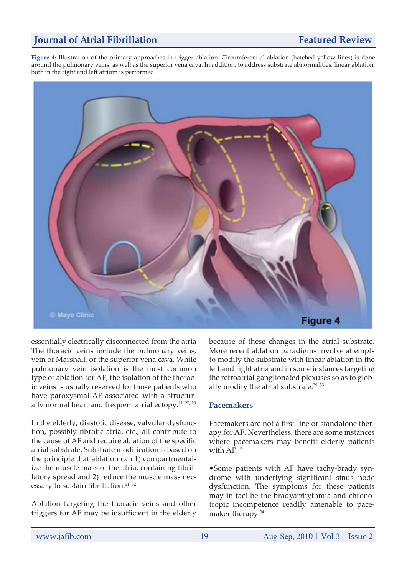**Figure 4:** Illustration of the primary approaches in trigger ablation. Circumferential ablation (hatched yellow lines) is done around the pulmonary veins, as well as the superior vena cava. In addition, to address substrate abnormalities, linear ablation, both in the right and left atrium is performed



essentially electrically disconnected from the atria The thoracic veins include the pulmonary veins, vein of Marshall, or the superior vena cava. While pulmonary vein isolation is the most common type of ablation for AF, the isolation of the thoracic veins is usually reserved for those patients who have paroxysmal AF associated with a structurally normal heart and frequent atrial ectopy.<sup>11, 27, 28</sup>

In the elderly, diastolic disease, valvular dysfunction, possibly fibrotic atria, etc., all contribute to the cause of AF and require ablation of the specific atrial substrate. Substrate modification is based on the principle that ablation can 1) compartmentalize the muscle mass of the atria, containing fibrillatory spread and 2) reduce the muscle mass necessary to sustain fibrillation.<sup>31, 32</sup>

Ablation targeting the thoracic veins and other triggers for AF may be insufficient in the elderly because of these changes in the atrial substrate. More recent ablation paradigms involve attempts to modify the substrate with linear ablation in the left and right atria and in some instances targeting the retroatrial ganglionated plexuses so as to globally modify the atrial substrate. $29,33$ 

### **Pacemakers**

Pacemakers are not a first-line or standalone therapy for AF. Nevertheless, there are some instances where pacemakers may benefit elderly patients with AF.<sup>12</sup>

•Some patients with AF have tachy-brady syndrome with underlying significant sinus node dysfunction. The symptoms for these patients may in fact be the bradyarrhythmia and chronotropic incompetence readily amenable to pacemaker therapy.<sup>34</sup>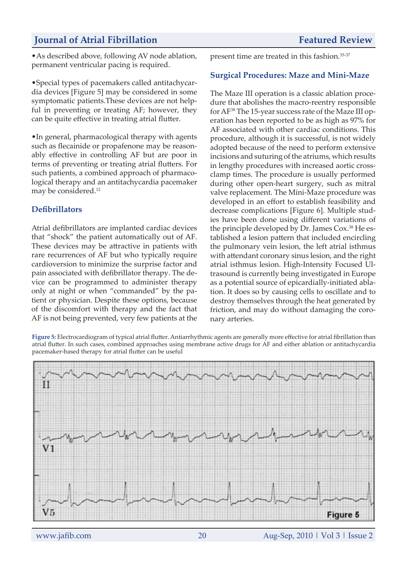•As described above, following AV node ablation, permanent ventricular pacing is required.

•Special types of pacemakers called antitachycardia devices [Figure 5] may be considered in some symptomatic patients.These devices are not helpful in preventing or treating AF; however, they can be quite effective in treating atrial flutter.

•In general, pharmacological therapy with agents such as flecainide or propafenone may be reasonably effective in controlling AF but are poor in terms of preventing or treating atrial flutters. For such patients, a combined approach of pharmacological therapy and an antitachycardia pacemaker may be considered.<sup>12</sup>

## **Defibrillators**

Atrial defibrillators are implanted cardiac devices that "shock" the patient automatically out of AF. These devices may be attractive in patients with rare recurrences of AF but who typically require cardioversion to minimize the surprise factor and pain associated with defibrillator therapy. The device can be programmed to administer therapy only at night or when "commanded" by the patient or physician. Despite these options, because of the discomfort with therapy and the fact that AF is not being prevented, very few patients at the present time are treated in this fashion.35-37

### **Surgical Procedures: Maze and Mini-Maze**

The Maze III operation is a classic ablation procedure that abolishes the macro-reentry responsible for AF38 The 15-year success rate of the Maze III operation has been reported to be as high as 97% for AF associated with other cardiac conditions. This procedure, although it is successful, is not widely adopted because of the need to perform extensive incisions and suturing of the atriums, which results in lengthy procedures with increased aortic crossclamp times. The procedure is usually performed during other open-heart surgery, such as mitral valve replacement. The Mini-Maze procedure was developed in an effort to establish feasibility and decrease complications [Figure 6]. Multiple studies have been done using different variations of the principle developed by Dr. James Cox.38 He established a lesion pattern that included encircling the pulmonary vein lesion, the left atrial isthmus with attendant coronary sinus lesion, and the right atrial isthmus lesion. High-Intensity Focused Ultrasound is currently being investigated in Europe as a potential source of epicardially-initiated ablation. It does so by causing cells to oscillate and to destroy themselves through the heat generated by friction, and may do without damaging the coronary arteries.

**Figure 5:** Electrocardiogram of typical atrial flutter. Antiarrhythmic agents are generally more effective for atrial fibrillation than atrial flutter. In such cases, combined approaches using membrane active drugs for AF and either ablation or antitachycardia pacemaker-based therapy for atrial flutter can be useful

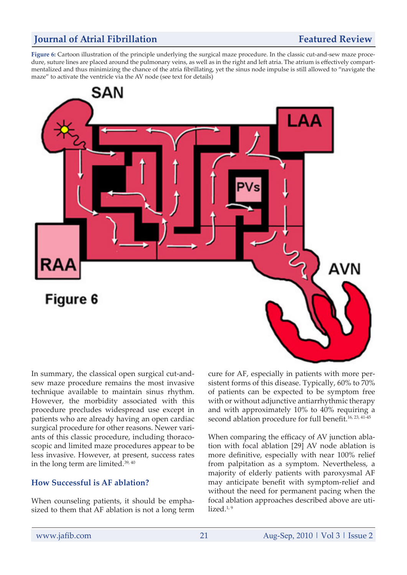**Figure 6:** Cartoon illustration of the principle underlying the surgical maze procedure. In the classic cut-and-sew maze procedure, suture lines are placed around the pulmonary veins, as well as in the right and left atria. The atrium is effectively compartmentalized and thus minimizing the chance of the atria fibrillating, yet the sinus node impulse is still allowed to "navigate the maze" to activate the ventricle via the AV node (see text for details)



In summary, the classical open surgical cut-andsew maze procedure remains the most invasive technique available to maintain sinus rhythm. However, the morbidity associated with this procedure precludes widespread use except in patients who are already having an open cardiac surgical procedure for other reasons. Newer variants of this classic procedure, including thoracoscopic and limited maze procedures appear to be less invasive. However, at present, success rates in the long term are limited.39, 40

### **How Successful is AF ablation?**

When counseling patients, it should be emphasized to them that AF ablation is not a long term cure for AF, especially in patients with more persistent forms of this disease. Typically, 60% to 70% of patients can be expected to be symptom free with or without adjunctive antiarrhythmic therapy and with approximately 10% to 40% requiring a second ablation procedure for full benefit.<sup>16, 23, 41-45</sup>

When comparing the efficacy of AV junction ablation with focal ablation [29] AV node ablation is more definitive, especially with near 100% relief from palpitation as a symptom. Nevertheless, a majority of elderly patients with paroxysmal AF may anticipate benefit with symptom-relief and without the need for permanent pacing when the focal ablation approaches described above are utilized. $1,9$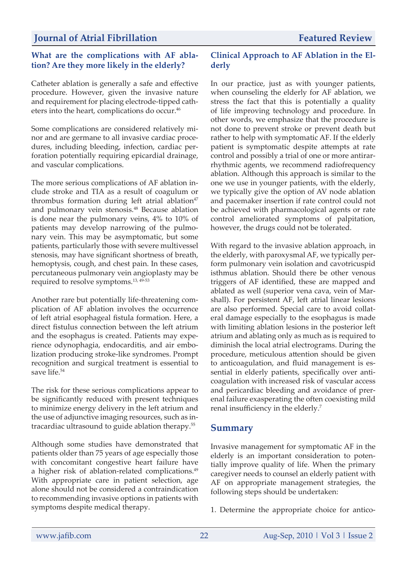### **What are the complications with AF ablation? Are they more likely in the elderly?**

Catheter ablation is generally a safe and effective procedure. However, given the invasive nature and requirement for placing electrode-tipped catheters into the heart, complications do occur.<sup>46</sup>

Some complications are considered relatively minor and are germane to all invasive cardiac procedures, including bleeding, infection, cardiac perforation potentially requiring epicardial drainage, and vascular complications.

The more serious complications of AF ablation include stroke and TIA as a result of coagulum or thrombus formation during left atrial ablation $47$ and pulmonary vein stenosis.<sup>48</sup> Because ablation is done near the pulmonary veins, 4% to 10% of patients may develop narrowing of the pulmonary vein. This may be asymptomatic, but some patients, particularly those with severe multivessel stenosis, may have significant shortness of breath, hemoptysis, cough, and chest pain. In these cases, percutaneous pulmonary vein angioplasty may be required to resolve symptoms.13, 49-53

Another rare but potentially life-threatening complication of AF ablation involves the occurrence of left atrial esophageal fistula formation. Here, a direct fistulus connection between the left atrium and the esophagus is created. Patients may experience odynophagia, endocarditis, and air embolization producing stroke-like syndromes. Prompt recognition and surgical treatment is essential to save life.<sup>54</sup>

The risk for these serious complications appear to be significantly reduced with present techniques to minimize energy delivery in the left atrium and the use of adjunctive imaging resources, such as intracardiac ultrasound to guide ablation therapy.<sup>55</sup>

Although some studies have demonstrated that patients older than 75 years of age especially those with concomitant congestive heart failure have a higher risk of ablation-related complications.<sup>49</sup> With appropriate care in patient selection, age alone should not be considered a contraindication to recommending invasive options in patients with symptoms despite medical therapy.

## **Clinical Approach to AF Ablation in the Elderly**

In our practice, just as with younger patients, when counseling the elderly for AF ablation, we stress the fact that this is potentially a quality of life improving technology and procedure. In other words, we emphasize that the procedure is not done to prevent stroke or prevent death but rather to help with symptomatic AF. If the elderly patient is symptomatic despite attempts at rate control and possibly a trial of one or more antirarrhythmic agents, we recommend radiofrequency ablation. Although this approach is similar to the one we use in younger patients, with the elderly, we typically give the option of AV node ablation and pacemaker insertion if rate control could not be achieved with pharmacological agents or rate control ameliorated symptoms of palpitation, however, the drugs could not be tolerated.

With regard to the invasive ablation approach, in the elderly, with paroxysmal AF, we typically perform pulmonary vein isolation and cavotricuspid isthmus ablation. Should there be other venous triggers of AF identified, these are mapped and ablated as well (superior vena cava, vein of Marshall). For persistent AF, left atrial linear lesions are also performed. Special care to avoid collateral damage especially to the esophagus is made with limiting ablation lesions in the posterior left atrium and ablating only as much as is required to diminish the local atrial electrograms. During the procedure, meticulous attention should be given to anticoagulation, and fluid management is essential in elderly patients, specifically over anticoagulation with increased risk of vascular access and pericardiac bleeding and avoidance of prerenal failure exasperating the often coexisting mild renal insufficiency in the elderly.7

# **Summary**

Invasive management for symptomatic AF in the elderly is an important consideration to potentially improve quality of life. When the primary caregiver needs to counsel an elderly patient with AF on appropriate management strategies, the following steps should be undertaken:

1. Determine the appropriate choice for antico-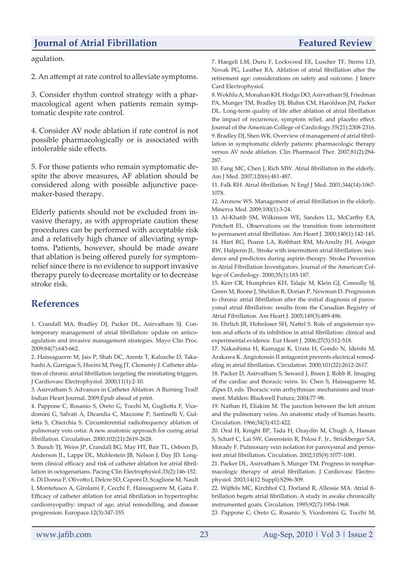agulation.

2. An attempt at rate control to alleviate symptoms.

3. Consider rhythm control strategy with a pharmacological agent when patients remain symptomatic despite rate control.

4. Consider AV node ablation if rate control is not possible pharmacologically or is associated with intolerable side effects.

5. For those patients who remain symptomatic despite the above measures, AF ablation should be considered along with possible adjunctive pacemaker-based therapy.

Elderly patients should not be excluded from invasive therapy, as with appropriate caution these procedures can be performed with acceptable risk and a relatively high chance of alleviating symptoms. Patients, however, should be made aware that ablation is being offered purely for symptomrelief since there is no evidence to support invasive therapy purely to decrease mortality or to decrease stroke risk.

# **References**

1. Crandall MA, Bradley DJ, Packer DL, Asirvatham SJ. Contemporary management of atrial fibrillation: update on anticoagulation and invasive management strategies. Mayo Clin Proc. 2009;84(7):643-662.

2. Haissaguerre M, Jais P, Shah DC, Arentz T, Kalusche D, Takahashi A, Garrigue S, Hocini M, Peng JT, Clementy J. Catheter ablation of chronic atrial fibrillation targeting the reinitiating triggers. J Cardiovasc Electrophysiol. 2000;11(1):2-10.

3. Asirvatham S. Advances in Catheter Ablation: A Burning Trail! Indian Heart Journal. 2009;Epub ahead of print.

4. Pappone C, Rosanio S, Oreto G, Tocchi M, Gugliotta F, Vicedomini G, Salvati A, Dicandia C, Mazzone P, Santinelli V, Gulletta S, Chierchia S. Circumferential radiofrequency ablation of pulmonary vein ostia: A new anatomic approach for curing atrial fibrillation. Circulation. 2000;102(21):2619-2628.

5. Bunch TJ, Weiss JP, Crandall BG, May HT, Bair TL, Osborn JS, Anderson JL, Lappe DL, Muhlestein JB, Nelson J, Day JD. Longterm clinical efficacy and risk of catheter ablation for atrial fibrillation in octogenarians. Pacing Clin Electrophysiol.33(2):146-152. 6. Di Donna P, Olivotto I, Delcre SD, Caponi D, Scaglione M, Nault I, Montefusco A, Girolami F, Cecchi F, Haissaguerre M, Gaita F. Efficacy of catheter ablation for atrial fibrillation in hypertrophic cardiomyopathy: impact of age, atrial remodelling, and disease progression. Europace.12(3):347-355.

7. Haegeli LM, Duru F, Lockwood EE, Luscher TF, Sterns LD, Novak PG, Leather RA. Ablation of atrial fibrillation after the retirement age: considerations on safety and outcome. J Interv Card Electrophysiol.

8. Wokhlu A, Monahan KH, Hodge DO, Asirvatham SJ, Friedman PA, Munger TM, Bradley DJ, Bluhm CM, Haroldson JM, Packer DL. Long-term quality of life after ablation of atrial fibrillation the impact of recurrence, symptom relief, and placebo effect. Journal of the American College of Cardiology.55(21):2308-2316. 9. Bradley DJ, Shen WK. Overview of management of atrial fibrillation in symptomatic elderly patients: pharmacologic therapy versus AV node ablation. Clin Pharmacol Ther. 2007;81(2):284- 287.

10. Fang MC, Chen J, Rich MW. Atrial fibrillation in the elderly. Am J Med. 2007;120(6):481-487.

11. Falk RH. Atrial fibrillation. N Engl J Med. 2001;344(14):1067- 1078.

12. Aronow WS. Management of atrial fibrillation in the elderly. Minerva Med. 2009;100(1):3-24.

13. Al-Khatib SM, Wilkinson WE, Sanders LL, McCarthy EA, Pritchett EL. Observations on the transition from intermittent to permanent atrial fibrillation. Am Heart J. 2000;140(1):142-145. 14. Hart RG, Pearce LA, Rothbart RM, McAnulty JH, Asinger RW, Halperin JL. Stroke with intermittent atrial fibrillation: incidence and predictors during aspirin therapy. Stroke Prevention in Atrial Fibrillation Investigators. Journal of the American College of Cardiology. 2000;35(1):183-187.

15. Kerr CR, Humphries KH, Talajic M, Klein GJ, Connolly SJ, Green M, Boone J, Sheldon R, Dorian P, Newman D. Progression to chronic atrial fibrillation after the initial diagnosis of paroxysmal atrial fibrillation: results from the Canadian Registry of Atrial Fibrillation. Am Heart J. 2005;149(3):489-496.

16. Ehrlich JR, Hohnloser SH, Nattel S. Role of angiotensin system and effects of its inhibition in atrial fibrillation: clinical and experimental evidence. Eur Heart J. 2006;27(5):512-518.

17. Nakashima H, Kumagai K, Urata H, Gondo N, Ideishi M, Arakawa K. Angiotensin II antagonist prevents electrical remodeling in atrial fibrillation. Circulation. 2000;101(22):2612-2617.

18. Packer D, Asirvatham S, Seward J, Breen J, Robb R. Imaging of the cardiac and thoracic veins. In: Chen S, Haissaguerre M, Zipes D, eds. Thoracic vein arrhythmias: mechanisms and treatment. Malden: Blackwell Futura; 2004:77-98.

19. Nathan H, Eliakim M. The junction between the left atrium and the pulmonary veins. An anatomic study of human hearts. Circulation. 1966;34(3):412-422.

20. Oral H, Knight BP, Tada H, Ozaydin M, Chugh A, Hassan S, Scharf C, Lai SW, Greenstein R, Pelosi F, Jr., Strickberger SA, Morady F. Pulmonary vein isolation for paroxysmal and persistent atrial fibrillation. Circulation. 2002;105(9):1077-1081.

21. Packer DL, Asirvatham S, Munger TM. Progress in nonpharmacologic therapy of atrial fibrillation. J Cardiovasc Electrophysiol. 2003;14(12 Suppl):S296-309.

22. Wijffels MC, Kirchhof CJ, Dorland R, Allessie MA. Atrial fibrillation begets atrial fibrillation. A study in awake chronically instrumented goats. Circulation. 1995;92(7):1954-1968.

23. Pappone C, Oreto G, Rosanio S, Vicedomini G, Tocchi M,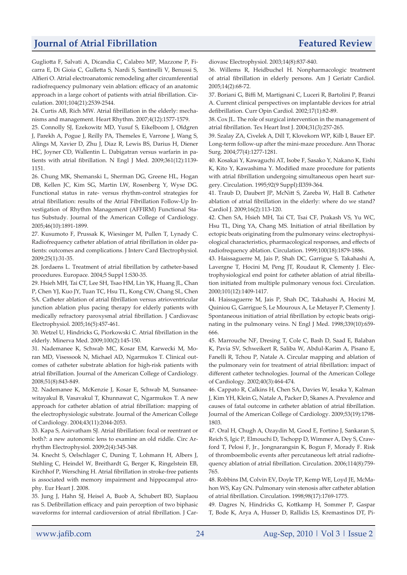Gugliotta F, Salvati A, Dicandia C, Calabro MP, Mazzone P, Ficarra E, Di Gioia C, Gulletta S, Nardi S, Santinelli V, Benussi S, Alfieri O. Atrial electroanatomic remodeling after circumferential radiofrequency pulmonary vein ablation: efficacy of an anatomic approach in a large cohort of patients with atrial fibrillation. Circulation. 2001;104(21):2539-2544.

24. Curtis AB, Rich MW. Atrial fibrillation in the elderly: mechanisms and management. Heart Rhythm. 2007;4(12):1577-1579.

25. Connolly SJ, Ezekowitz MD, Yusuf S, Eikelboom J, Oldgren J, Parekh A, Pogue J, Reilly PA, Themeles E, Varrone J, Wang S, Alings M, Xavier D, Zhu J, Diaz R, Lewis BS, Darius H, Diener HC, Joyner CD, Wallentin L. Dabigatran versus warfarin in patients with atrial fibrillation. N Engl J Med. 2009;361(12):1139- 1151.

26. Chung MK, Shemanski L, Sherman DG, Greene HL, Hogan DB, Kellen JC, Kim SG, Martin LW, Rosenberg Y, Wyse DG. Functional status in rate- versus rhythm-control strategies for atrial fibrillation: results of the Atrial Fibrillation Follow-Up Investigation of Rhythm Management (AFFIRM) Functional Status Substudy. Journal of the American College of Cardiology. 2005;46(10):1891-1899.

27. Kusumoto F, Prussak K, Wiesinger M, Pullen T, Lynady C. Radiofrequency catheter ablation of atrial fibrillation in older patients: outcomes and complications. J Interv Card Electrophysiol. 2009;25(1):31-35.

28. Jordaens L. Treatment of atrial fibrillation by catheter-based procedures. Europace. 2004;5 Suppl 1:S30-35.

29. Hsieh MH, Tai CT, Lee SH, Tsao HM, Lin YK, Huang JL, Chan P, Chen YJ, Kuo JY, Tuan TC, Hsu TL, Kong CW, Chang SL, Chen SA. Catheter ablation of atrial fibrillation versus atrioventricular junction ablation plus pacing therapy for elderly patients with medically refractory paroxysmal atrial fibrillation. J Cardiovasc Electrophysiol. 2005;16(5):457-461.

30. Wetzel U, Hindricks G, Piorkowski C. Atrial fibrillation in the elderly. Minerva Med. 2009;100(2):145-150.

31. Nademanee K, Schwab MC, Kosar EM, Karwecki M, Moran MD, Visessook N, Michael AD, Ngarmukos T. Clinical outcomes of catheter substrate ablation for high-risk patients with atrial fibrillation. Journal of the American College of Cardiology. 2008;51(8):843-849.

32. Nademanee K, McKenzie J, Kosar E, Schwab M, Sunsaneewitayakul B, Vasavakul T, Khunnawat C, Ngarmukos T. A new approach for catheter ablation of atrial fibrillation: mapping of the electrophysiologic substrate. Journal of the American College of Cardiology. 2004;43(11):2044-2053.

33. Kapa S, Asirvatham SJ. Atrial fibrillation: focal or reentrant or both?: a new autonomic lens to examine an old riddle. Circ Arrhythm Electrophysiol. 2009;2(4):345-348.

34. Knecht S, Oelschlager C, Duning T, Lohmann H, Albers J, Stehling C, Heindel W, Breithardt G, Berger K, Ringelstein EB, Kirchhof P, Wersching H. Atrial fibrillation in stroke-free patients is associated with memory impairment and hippocampal atrophy. Eur Heart J. 2008.

35. Jung J, Hahn SJ, Heisel A, Buob A, Schubert BD, Siaplaou ras S. Defibrillation efficacy and pain perception of two biphasic waveforms for internal cardioversion of atrial fibrillation. J Cardiovasc Electrophysiol. 2003;14(8):837-840.

36. Willems R, Heidbuchel H. Nonpharmacologic treatment of atrial fibrillation in elderly persons. Am J Geriatr Cardiol. 2005;14(2):68-72.

37. Boriani G, Biffi M, Martignani C, Luceri R, Bartolini P, Branzi A. Current clinical perspectives on implantable devices for atrial defibrillation. Curr Opin Cardiol. 2002;17(1):82-89.

38. Cox JL. The role of surgical intervention in the management of atrial fibrillation. Tex Heart Inst J. 2004;31(3):257-265.

39. Szalay ZA, Civelek A, Dill T, Klovekorn WP, Kilb I, Bauer EP. Long-term follow-up after the mini-maze procedure. Ann Thorac Surg. 2004;77(4):1277-1281.

40. Kosakai Y, Kawaguchi AT, Isobe F, Sasako Y, Nakano K, Eishi K, Kito Y, Kawashima Y. Modified maze procedure for patients with atrial fibrillation undergoing simultaneous open heart surgery. Circulation. 1995;92(9 Suppl):II359-364.

41. Traub D, Daubert JP, McNitt S, Zareba W, Hall B. Catheter ablation of atrial fibrillation in the elderly: where do we stand? Cardiol J. 2009;16(2):113-120.

42. Chen SA, Hsieh MH, Tai CT, Tsai CF, Prakash VS, Yu WC, Hsu TL, Ding YA, Chang MS. Initiation of atrial fibrillation by ectopic beats originating from the pulmonary veins: electrophysiological characteristics, pharmacological responses, and effects of radiofrequency ablation. Circulation. 1999;100(18):1879-1886.

43. Haissaguerre M, Jais P, Shah DC, Garrigue S, Takahashi A, Lavergne T, Hocini M, Peng JT, Roudaut R, Clementy J. Electrophysiological end point for catheter ablation of atrial fibrillation initiated from multiple pulmonary venous foci. Circulation. 2000;101(12):1409-1417.

44. Haissaguerre M, Jais P, Shah DC, Takahashi A, Hocini M, Quiniou G, Garrigue S, Le Mouroux A, Le Metayer P, Clementy J. Spontaneous initiation of atrial fibrillation by ectopic beats originating in the pulmonary veins. N Engl J Med. 1998;339(10):659- 666.

45. Marrouche NF, Dresing T, Cole C, Bash D, Saad E, Balaban K, Pavia SV, Schweikert R, Saliba W, Abdul-Karim A, Pisano E, Fanelli R, Tchou P, Natale A. Circular mapping and ablation of the pulmonary vein for treatment of atrial fibrillation: impact of different catheter technologies. Journal of the American College of Cardiology. 2002;40(3):464-474.

46. Cappato R, Calkins H, Chen SA, Davies W, Iesaka Y, Kalman J, Kim YH, Klein G, Natale A, Packer D, Skanes A. Prevalence and causes of fatal outcome in catheter ablation of atrial fibrillation. Journal of the American College of Cardiology. 2009;53(19):1798- 1803.

47. Oral H, Chugh A, Ozaydin M, Good E, Fortino J, Sankaran S, Reich S, Igic P, Elmouchi D, Tschopp D, Wimmer A, Dey S, Crawford T, Pelosi F, Jr., Jongnarangsin K, Bogun F, Morady F. Risk of thromboembolic events after percutaneous left atrial radiofrequency ablation of atrial fibrillation. Circulation. 2006;114(8):759- 765.

48. Robbins IM, Colvin EV, Doyle TP, Kemp WE, Loyd JE, McMahon WS, Kay GN. Pulmonary vein stenosis after catheter ablation of atrial fibrillation. Circulation. 1998;98(17):1769-1775.

49. Dagres N, Hindricks G, Kottkamp H, Sommer P, Gaspar T, Bode K, Arya A, Husser D, Rallidis LS, Kremastinos DT, Pi-